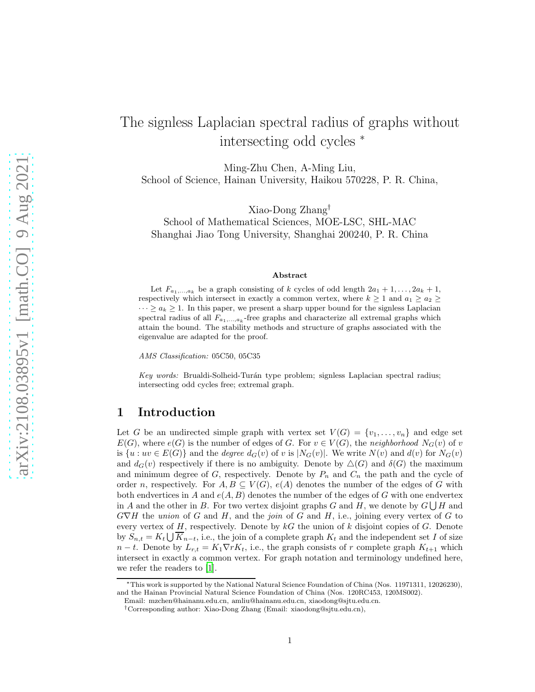# The signless Laplacian spectral radius of graphs without intersecting odd cycles <sup>∗</sup>

Ming-Zhu Chen, A-Ming Liu, School of Science, Hainan University, Haikou 570228, P. R. China,

Xiao-Dong Zhang† School of Mathematical Sciences, MOE-LSC, SHL-MAC Shanghai Jiao Tong University, Shanghai 200240, P. R. China

#### Abstract

Let  $F_{a_1,...,a_k}$  be a graph consisting of k cycles of odd length  $2a_1 + 1, \ldots, 2a_k + 1$ , respectively which intersect in exactly a common vertex, where  $k \geq 1$  and  $a_1 \geq a_2 \geq$  $\cdots \ge a_k \ge 1$ . In this paper, we present a sharp upper bound for the signless Laplacian spectral radius of all  $F_{a_1,...,a_k}$ -free graphs and characterize all extremal graphs which attain the bound. The stability methods and structure of graphs associated with the eigenvalue are adapted for the proof.

AMS Classification: 05C50, 05C35

Key words: Brualdi-Solheid-Turán type problem; signless Laplacian spectral radius; intersecting odd cycles free; extremal graph.

# 1 Introduction

Let G be an undirected simple graph with vertex set  $V(G) = \{v_1, \ldots, v_n\}$  and edge set  $E(G)$ , where  $e(G)$  is the number of edges of G. For  $v \in V(G)$ , the neighborhood  $N_G(v)$  of v is  $\{u : uv \in E(G)\}\$  and the *degree*  $d_G(v)$  of v is  $|N_G(v)|$ . We write  $N(v)$  and  $d(v)$  for  $N_G(v)$ and  $d_G(v)$  respectively if there is no ambiguity. Denote by  $\Delta(G)$  and  $\delta(G)$  the maximum and minimum degree of  $G$ , respectively. Denote by  $P_n$  and  $C_n$  the path and the cycle of order n, respectively. For  $A, B \subseteq V(G)$ ,  $e(A)$  denotes the number of the edges of G with both endvertices in A and  $e(A, B)$  denotes the number of the edges of G with one endvertex in A and the other in B. For two vertex disjoint graphs G and H, we denote by  $G \bigcup H$  and  $G\nabla H$  the union of G and H, and the join of G and H, i.e., joining every vertex of G to every vertex of  $H$ , respectively. Denote by  $kG$  the union of  $k$  disjoint copies of  $G$ . Denote by  $S_{n,t} = K_t \bigcup K_{n-t}$ , i.e., the join of a complete graph  $K_t$  and the independent set I of size  $n-t$ . Denote by  $L_{r,t} = K_1 \nabla r K_t$ , i.e., the graph consists of r complete graph  $K_{t+1}$  which intersect in exactly a common vertex. For graph notation and terminology undefined here, we refer the readers to [\[1\]](#page-9-0).

<sup>∗</sup>This work is supported by the National Natural Science Foundation of China (Nos. 11971311, 12026230), and the Hainan Provincial Natural Science Foundation of China (Nos. 120RC453, 120MS002).

Email: mzchen@hainanu.edu.cn, amliu@hainanu.edu.cn, xiaodong@sjtu.edu.cn.

<sup>†</sup>Corresponding author: Xiao-Dong Zhang (Email: xiaodong@sjtu.edu.cn),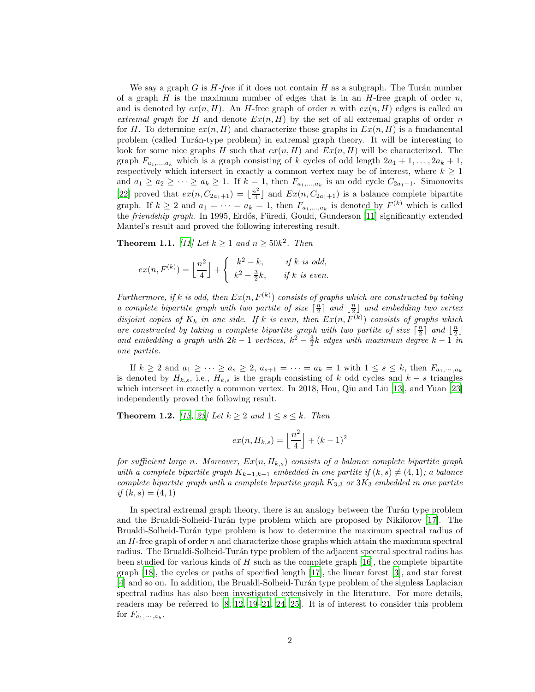We say a graph G is  $H$ -free if it does not contain H as a subgraph. The Turán number of a graph H is the maximum number of edges that is in an H-free graph of order  $n$ , and is denoted by  $ex(n, H)$ . An H-free graph of order n with  $ex(n, H)$  edges is called an extremal graph for H and denote  $Ex(n, H)$  by the set of all extremal graphs of order n for H. To determine  $ex(n, H)$  and characterize those graphs in  $Ex(n, H)$  is a fundamental problem (called Tur´an-type problem) in extremal graph theory. It will be interesting to look for some nice graphs H such that  $ex(n, H)$  and  $Ex(n, H)$  will be characterized. The graph  $F_{a_1,\ldots,a_k}$  which is a graph consisting of k cycles of odd length  $2a_1 + 1, \ldots, 2a_k + 1$ , respectively which intersect in exactly a common vertex may be of interest, where  $k \geq 1$ and  $a_1 \ge a_2 \ge \cdots \ge a_k \ge 1$ . If  $k = 1$ , then  $F_{a_1,...,a_k}$  is an odd cycle  $C_{2a_1+1}$ . Simonovits [\[22\]](#page-10-0) proved that  $ex(n, C_{2a_1+1}) = \lfloor \frac{n^2}{4} \rfloor$  $\lfloor \frac{n^2}{4} \rfloor$  and  $Ex(n, C_{2a_1+1})$  is a balance complete bipartite graph. If  $k \geq 2$  and  $a_1 = \cdots = a_k = 1$ , then  $F_{a_1,\ldots,a_k}$  is denoted by  $F^{(k)}$  which is called the *friendship graph*. In 1995, Erdős, Füredi, Gould, Gunderson [\[11](#page-10-1)] significantly extended Mantel's result and proved the following interesting result.

<span id="page-1-0"></span>**Theorem 1.1.** [\[11](#page-10-1)] Let  $k \geq 1$  and  $n \geq 50k^2$ . Then

$$
ex(n, F^{(k)}) = \left\lfloor \frac{n^2}{4} \right\rfloor + \begin{cases} k^2 - k, & \text{if } k \text{ is odd,} \\ k^2 - \frac{3}{2}k, & \text{if } k \text{ is even.} \end{cases}
$$

Furthermore, if k is odd, then  $Ex(n, F^{(k)})$  consists of graphs which are constructed by taking a complete bipartite graph with two partite of size  $\lceil \frac{n}{2} \rceil$  and  $\lfloor \frac{n}{2} \rfloor$  and embedding two vertex disjoint copies of  $K_k$  in one side. If k is even, then  $Ex(n, F^{(k)})$  consists of graphs which are constructed by taking a complete bipartite graph with two partite of size  $\lceil \frac{n}{2} \rceil$  and  $\lfloor \frac{n}{2} \rfloor$ and embedding a graph with  $2k-1$  vertices,  $k^2 - \frac{3}{2}k$  edges with maximum degree  $k-1$  in one partite.

If  $k \geq 2$  and  $a_1 \geq \cdots \geq a_s \geq 2$ ,  $a_{s+1} = \cdots = a_k = 1$  with  $1 \leq s \leq k$ , then  $F_{a_1,\cdots,a_k}$ is denoted by  $H_{k,s}$ , i.e.,  $H_{k,s}$  is the graph consisting of k odd cycles and  $k - s$  triangles which intersect in exactly a common vertex. In 2018, Hou, Qiu and Liu [\[13\]](#page-10-2), and Yuan [\[23](#page-10-3)] independently proved the following result.

<span id="page-1-1"></span>**Theorem 1.2.** [\[13](#page-10-2), [23](#page-10-3)] Let  $k \geq 2$  and  $1 \leq s \leq k$ . Then

$$
ex(n, H_{k,s}) = \left\lfloor \frac{n^2}{4} \right\rfloor + (k-1)^2
$$

for sufficient large n. Moreover,  $Ex(n, H_{k,s})$  consists of a balance complete bipartite graph with a complete bipartite graph  $K_{k-1,k-1}$  embedded in one partite if  $(k, s) \neq (4, 1)$ ; a balance complete bipartite graph with a complete bipartite graph  $K_{3,3}$  or  $3K_3$  embedded in one partite if  $(k, s) = (4, 1)$ 

In spectral extremal graph theory, there is an analogy between the Turán type problem and the Brualdi-Solheid-Turán type problem which are proposed by Nikiforov [\[17\]](#page-10-4). The Brualdi-Solheid-Turán type problem is how to determine the maximum spectral radius of an  $H$ -free graph of order n and characterize those graphs which attain the maximum spectral radius. The Brualdi-Solheid-Turán type problem of the adjacent spectral spectral radius has been studied for various kinds of  $H$  such as the complete graph [\[16\]](#page-10-5), the complete bipartite graph [\[18](#page-10-6)], the cycles or paths of specified length [\[17](#page-10-4)], the linear forest [\[3](#page-9-1)], and star forest [\[4\]](#page-9-2) and so on. In addition, the Brualdi-Solheid-Tur´an type problem of the signless Laplacian spectral radius has also been investigated extensively in the literature. For more details, readers may be referred to [\[8,](#page-9-3) [12](#page-10-7), [19](#page-10-8)[–21,](#page-10-9) [24](#page-10-10), [25\]](#page-10-11). It is of interest to consider this problem for  $F_{a_1,\dots,a_k}$ .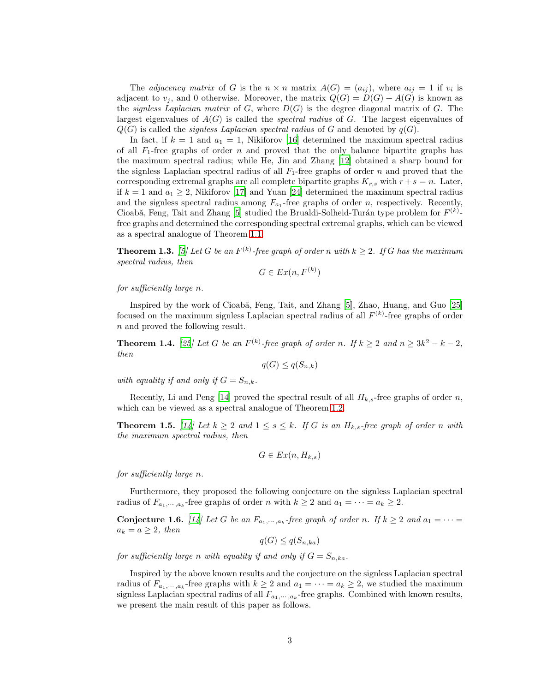The *adjacency matrix* of G is the  $n \times n$  matrix  $A(G) = (a_{ij})$ , where  $a_{ij} = 1$  if  $v_i$  is adjacent to  $v_i$ , and 0 otherwise. Moreover, the matrix  $Q(G) = D(G) + A(G)$  is known as the *signless Laplacian matrix* of G, where  $D(G)$  is the degree diagonal matrix of G. The largest eigenvalues of  $A(G)$  is called the *spectral radius* of G. The largest eigenvalues of  $Q(G)$  is called the *signless Laplacian spectral radius* of G and denoted by  $q(G)$ .

In fact, if  $k = 1$  and  $a_1 = 1$ , Nikiforov [\[16](#page-10-5)] determined the maximum spectral radius of all  $F_1$ -free graphs of order n and proved that the only balance bipartite graphs has the maximum spectral radius; while He, Jin and Zhang [\[12\]](#page-10-7) obtained a sharp bound for the signless Laplacian spectral radius of all  $F_1$ -free graphs of order n and proved that the corresponding extremal graphs are all complete bipartite graphs  $K_{r,s}$  with  $r + s = n$ . Later, if  $k = 1$  and  $a_1 \geq 2$ , Nikiforov [\[17\]](#page-10-4) and Yuan [\[24\]](#page-10-10) determined the maximum spectral radius and the signless spectral radius among  $F_{a_1}$ -free graphs of order n, respectively. Recently, Cioabă, Feng, Tait and Zhang [\[5\]](#page-9-4) studied the Brualdi-Solheid-Turán type problem for  $F^{(k)}$ free graphs and determined the corresponding spectral extremal graphs, which can be viewed as a spectral analogue of Theorem [1.1.](#page-1-0)

**Theorem 1.3.** [\[5\]](#page-9-4) Let G be an  $F^{(k)}$ -free graph of order n with  $k \geq 2$ . If G has the maximum spectral radius, then

$$
G \in Ex(n, F^{(k)})
$$

#### for sufficiently large n.

Inspired by the work of Cioabă, Feng, Tait, and Zhang [\[5](#page-9-4)], Zhao, Huang, and Guo [\[25](#page-10-11)] focused on the maximum signless Laplacian spectral radius of all  $F^{(k)}$ -free graphs of order n and proved the following result.

**Theorem 1.4.** [\[25](#page-10-11)] Let G be an  $F^{(k)}$ -free graph of order n. If  $k \geq 2$  and  $n \geq 3k^2 - k - 2$ , then

$$
q(G) \le q(S_{n,k})
$$

with equality if and only if  $G = S_{n,k}$ .

Recently, Li and Peng [\[14\]](#page-10-12) proved the spectral result of all  $H_{k,s}$ -free graphs of order n, which can be viewed as a spectral analogue of Theorem [1.2.](#page-1-1)

<span id="page-2-0"></span>**Theorem 1.5.** [\[14](#page-10-12)] Let  $k \geq 2$  and  $1 \leq s \leq k$ . If G is an  $H_{k,s}$ -free graph of order n with the maximum spectral radius, then

$$
G \in Ex(n, H_{k,s})
$$

for sufficiently large n.

Furthermore, they proposed the following conjecture on the signless Laplacian spectral radius of  $F_{a_1,\dots,a_k}$ -free graphs of order n with  $k \geq 2$  and  $a_1 = \dots = a_k \geq 2$ .

**Conjecture 1.6.** [\[14](#page-10-12)] Let G be an  $F_{a_1,\dots,a_k}$ -free graph of order n. If  $k \geq 2$  and  $a_1 = \dots =$  $a_k = a \geq 2$ , then

$$
q(G) \le q(S_{n,ka})
$$

for sufficiently large n with equality if and only if  $G = S_{n,ka}$ .

Inspired by the above known results and the conjecture on the signless Laplacian spectral radius of  $F_{a_1,\dots,a_k}$ -free graphs with  $k \geq 2$  and  $a_1 = \dots = a_k \geq 2$ , we studied the maximum signless Laplacian spectral radius of all  $F_{a_1,\dots,a_k}$ -free graphs. Combined with known results, we present the main result of this paper as follows.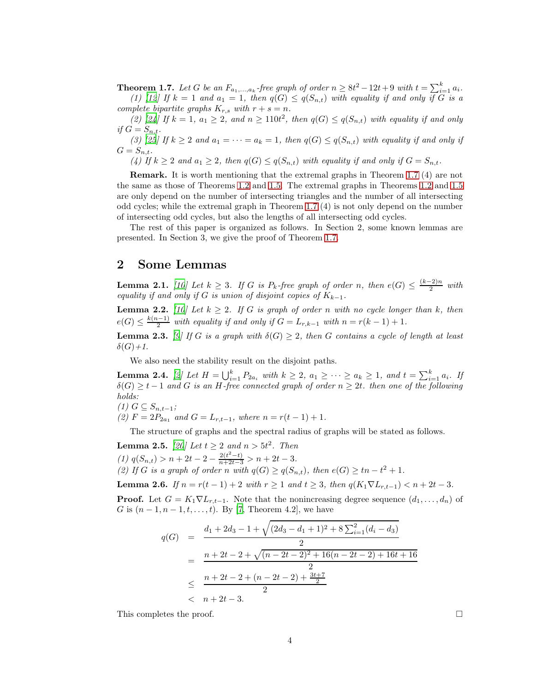<span id="page-3-0"></span>**Theorem 1.7.** Let G be an  $F_{a_1,...,a_k}$ -free graph of order  $n \geq 8t^2 - 12t + 9$  with  $t = \sum_{i=1}^{k} a_i$ . (1) [\[12](#page-10-7)] If  $k = 1$  and  $a_1 = 1$ , then  $q(G) \leq q(S_{n,t})$  with equality if and only if G is a complete bipartite graphs  $K_{r,s}$  with  $r + s = n$ .

(2) [\[24](#page-10-10)] If  $k = 1$ ,  $a_1 \geq 2$ , and  $n \geq 110t^2$ , then  $q(G) \leq q(S_{n,t})$  with equality if and only if  $G = S_{n,t}$ .

(3) [\[25\]](#page-10-11) If  $k \geq 2$  and  $a_1 = \cdots = a_k = 1$ , then  $q(G) \leq q(S_{n,t})$  with equality if and only if  $G = S_{n,t}.$ 

(4) If  $k \geq 2$  and  $a_1 \geq 2$ , then  $q(G) \leq q(S_{n,t})$  with equality if and only if  $G = S_{n,t}$ .

Remark. It is worth mentioning that the extremal graphs in Theorem [1.7](#page-3-0) (4) are not the same as those of Theorems [1.2](#page-1-1) and [1.5.](#page-2-0) The extremal graphs in Theorems [1.2](#page-1-1) and [1.5](#page-2-0) are only depend on the number of intersecting triangles and the number of all intersecting odd cycles; while the extremal graph in Theorem [1.7](#page-3-0) (4) is not only depend on the number of intersecting odd cycles, but also the lengths of all intersecting odd cycles.

The rest of this paper is organized as follows. In Section 2, some known lemmas are presented. In Section 3, we give the proof of Theorem [1.7.](#page-3-0)

### 2 Some Lemmas

<span id="page-3-1"></span>**Lemma 2.1.** [\[10](#page-10-13)] Let  $k \geq 3$ . If G is  $P_k$ -free graph of order n, then  $e(G) \leq \frac{(k-2)n}{2}$  $\frac{(-2)^n}{2}$  with equality if and only if G is union of disjoint copies of  $K_{k-1}$ .

<span id="page-3-3"></span>**Lemma 2.2.** [\[10](#page-10-13)] Let  $k \geq 2$ . If G is graph of order n with no cycle longer than k, then  $e(G) \leq \frac{k(n-1)}{2}$  $\frac{1}{2}$  with equality if and only if  $G = L_{r,k-1}$  with  $n = r(k-1)+1$ .

<span id="page-3-4"></span>**Lemma 2.3.** [\[9\]](#page-9-5) If G is a graph with  $\delta(G) \geq 2$ , then G contains a cycle of length at least  $\delta(G)+1$ .

We also need the stability result on the disjoint paths.

<span id="page-3-5"></span>**Lemma 2.4.** [\[2](#page-9-6)] Let  $H = \bigcup_{i=1}^{k} P_{2a_i}$  with  $k \geq 2$ ,  $a_1 \geq \cdots \geq a_k \geq 1$ , and  $t = \sum_{i=1}^{k} a_i$ . If  $\delta(G) \geq t-1$  and G is an H-free connected graph of order  $n \geq 2t$ . then one of the following holds:

$$
(1) G \subseteq S_{n,t-1};
$$

(2)  $F = 2P_{2a_1}$  and  $G = L_{r,t-1}$ , where  $n = r(t-1) + 1$ .

The structure of graphs and the spectral radius of graphs will be stated as follows.

<span id="page-3-2"></span>**Lemma 2.5.** [\[20](#page-10-14)] Let  $t \geq 2$  and  $n > 5t^2$ . Then (1)  $q(S_{n,t}) > n+2t-2-\frac{2(t^2-t)}{n+2t-3} > n+2t-3.$ (2) If G is a graph of order n with  $q(G) \geq q(S_{n,t})$ , then  $e(G) \geq tn - t^2 + 1$ .

<span id="page-3-6"></span>Lemma 2.6. If  $n = r(t-1) + 2$  with  $r \ge 1$  and  $t \ge 3$ , then  $q(K_1 \nabla L_{r,t-1}) < n + 2t - 3$ .

**Proof.** Let  $G = K_1 \nabla L_{r,t-1}$ . Note that the nonincreasing degree sequence  $(d_1, \ldots, d_n)$  of G is  $(n-1, n-1, t, \ldots, t)$ . By [\[7,](#page-9-7) Theorem 4.2], we have

$$
q(G) = \frac{d_1 + 2d_3 - 1 + \sqrt{(2d_3 - d_1 + 1)^2 + 8\sum_{i=1}^2 (d_i - d_3)}}{2}
$$
  
= 
$$
\frac{n + 2t - 2 + \sqrt{(n - 2t - 2)^2 + 16(n - 2t - 2) + 16t + 16}}{2}
$$
  

$$
\leq \frac{n + 2t - 2 + (n - 2t - 2) + \frac{3t + 7}{2}}{2}
$$
  

$$
< n + 2t - 3.
$$

This completes the proof.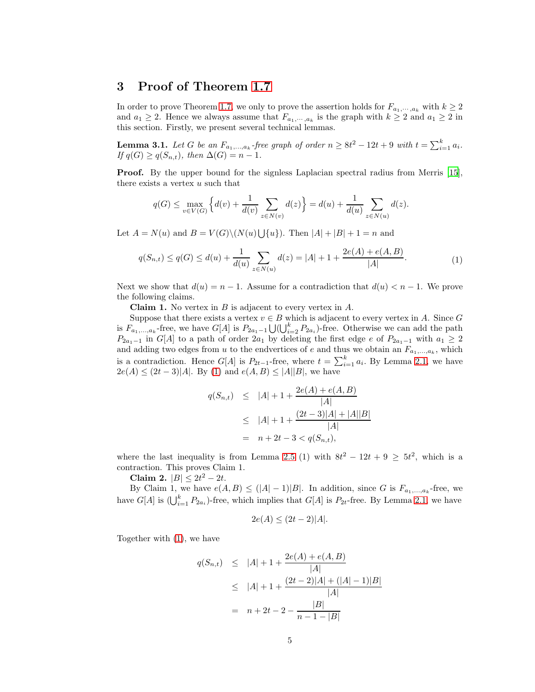# 3 Proof of Theorem [1.7](#page-3-0)

In order to prove Theorem [1.7,](#page-3-0) we only to prove the assertion holds for  $F_{a_1,\,\ldots,a_k}$  with  $k \geq 2$ and  $a_1 \geq 2$ . Hence we always assume that  $F_{a_1,\dots,a_k}$  is the graph with  $k \geq 2$  and  $a_1 \geq 2$  in this section. Firstly, we present several technical lemmas.

<span id="page-4-1"></span>**Lemma 3.1.** Let G be an  $F_{a_1,...,a_k}$ -free graph of order  $n \geq 8t^2 - 12t + 9$  with  $t = \sum_{i=1}^{k} a_i$ . If  $q(G) \geq q(S_{n,t}),$  then  $\Delta(G) = n - 1.$ 

Proof. By the upper bound for the signless Laplacian spectral radius from Merris [\[15](#page-10-15)], there exists a vertex  $u$  such that

<span id="page-4-0"></span>
$$
q(G) \le \max_{v \in V(G)} \left\{ d(v) + \frac{1}{d(v)} \sum_{z \in N(v)} d(z) \right\} = d(u) + \frac{1}{d(u)} \sum_{z \in N(u)} d(z).
$$

Let  $A = N(u)$  and  $B = V(G) \setminus (N(u) \cup \{u\})$ . Then  $|A| + |B| + 1 = n$  and

$$
q(S_{n,t}) \le q(G) \le d(u) + \frac{1}{d(u)} \sum_{z \in N(u)} d(z) = |A| + 1 + \frac{2e(A) + e(A, B)}{|A|}.
$$
 (1)

Next we show that  $d(u) = n - 1$ . Assume for a contradiction that  $d(u) < n - 1$ . We prove the following claims.

**Claim 1.** No vertex in  $B$  is adjacent to every vertex in  $A$ .

Suppose that there exists a vertex  $v \in B$  which is adjacent to every vertex in A. Since G is  $F_{a_1,...,a_k}$ -free, we have  $G[A]$  is  $P_{2a_1-1} \bigcup (\bigcup_{i=2}^k P_{2a_i})$ -free. Otherwise we can add the path  $P_{2a_1-1}$  in  $G[A]$  to a path of order  $2a_1$  by deleting the first edge e of  $P_{2a_1-1}$  with  $a_1 \geq 2$ and adding two edges from u to the endvertices of e and thus we obtain an  $F_{a_1,...,a_k}$ , which is a contradiction. Hence  $G[A]$  is  $P_{2t-1}$ -free, where  $t = \sum_{i=1}^{k} a_i$ . By Lemma [2.1,](#page-3-1) we have  $2e(A) \le (2t-3)|A|$ . By [\(1\)](#page-4-0) and  $e(A, B) \le |A||B|$ , we have

$$
q(S_{n,t}) \le |A| + 1 + \frac{2e(A) + e(A, B)}{|A|}
$$
  
\n
$$
\le |A| + 1 + \frac{(2t - 3)|A| + |A||B|}{|A|}
$$
  
\n
$$
= n + 2t - 3 < q(S_{n,t}),
$$

where the last inequality is from Lemma [2.5](#page-3-2) (1) with  $8t^2 - 12t + 9 \geq 5t^2$ , which is a contraction. This proves Claim 1.

Claim 2.  $|B| \leq 2t^2 - 2t$ .

By Claim 1, we have  $e(A, B) \leq (|A| - 1)|B|$ . In addition, since G is  $F_{a_1,...,a_k}$ -free, we have  $G[A]$  is  $(\bigcup_{i=1}^k P_{2a_i})$ -free, which implies that  $G[A]$  is  $P_{2t}$ -free. By Lemma [2.1,](#page-3-1) we have

$$
2e(A) \le (2t - 2)|A|.
$$

Together with [\(1\)](#page-4-0), we have

$$
q(S_{n,t}) \le |A| + 1 + \frac{2e(A) + e(A, B)}{|A|}
$$
  
\n
$$
\le |A| + 1 + \frac{(2t - 2)|A| + (|A| - 1)|B|}{|A|}
$$
  
\n
$$
= n + 2t - 2 - \frac{|B|}{n - 1 - |B|}
$$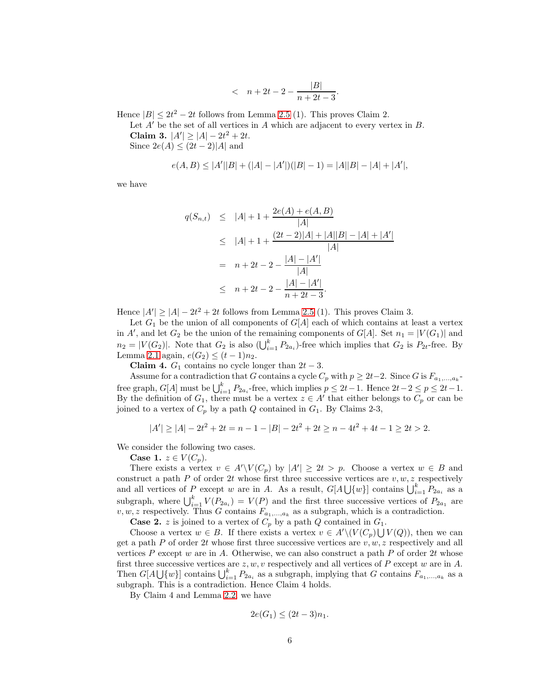$$
\quad < \ \ n+2t-2-\frac{|B|}{n+2t-3}.
$$

Hence  $|B| \leq 2t^2 - 2t$  follows from Lemma [2.5](#page-3-2) (1). This proves Claim 2.

Let  $A'$  be the set of all vertices in  $A$  which are adjacent to every vertex in  $B$ . Claim 3.  $|A'| \ge |A| - 2t^2 + 2t$ . Since  $2e(A) \leq (2t-2)|A|$  and

$$
e(A, B) \le |A'||B| + (|A| - |A'|)(|B| - 1) = |A||B| - |A| + |A'|,
$$

we have

$$
q(S_{n,t}) \le |A| + 1 + \frac{2e(A) + e(A, B)}{|A|}
$$
  
\n
$$
\le |A| + 1 + \frac{(2t - 2)|A| + |A||B| - |A| + |A'|}{|A|}
$$
  
\n
$$
= n + 2t - 2 - \frac{|A| - |A'|}{|A|}
$$
  
\n
$$
\le n + 2t - 2 - \frac{|A| - |A'|}{n + 2t - 3}.
$$

Hence  $|A'| \geq |A| - 2t^2 + 2t$  follows from Lemma [2.5](#page-3-2) (1). This proves Claim 3.

Let  $G_1$  be the union of all components of  $G[A]$  each of which contains at least a vertex in A', and let  $G_2$  be the union of the remaining components of  $G[A]$ . Set  $n_1 = |V(G_1)|$  and  $n_2 = |V(G_2)|$ . Note that  $G_2$  is also  $\left(\bigcup_{i=1}^k P_{2a_i}\right)$ -free which implies that  $G_2$  is  $P_{2t}$ -free. By Lemma [2.1](#page-3-1) again,  $e(G_2) \le (t-1)n_2$ .

Claim 4.  $G_1$  contains no cycle longer than  $2t - 3$ .

Assume for a contradiction that G contains a cycle  $C_p$  with  $p \geq 2t-2$ . Since G is  $F_{a_1,...,a_k}$ . free graph,  $G[A]$  must be  $\bigcup_{i=1}^{k} P_{2a_i}$ -free, which implies  $p \leq 2t-1$ . Hence  $2t-2 \leq p \leq 2t-1$ . By the definition of  $G_1$ , there must be a vertex  $z \in A'$  that either belongs to  $C_p$  or can be joined to a vertex of  $C_p$  by a path Q contained in  $G_1$ . By Claims 2-3,

$$
|A'| \ge |A| - 2t^2 + 2t = n - 1 - |B| - 2t^2 + 2t \ge n - 4t^2 + 4t - 1 \ge 2t > 2.
$$

We consider the following two cases.

Case 1.  $z \in V(C_p)$ .

There exists a vertex  $v \in A' \setminus V(C_p)$  by  $|A'| \geq 2t > p$ . Choose a vertex  $w \in B$  and construct a path P of order 2t whose first three successive vertices are  $v, w, z$  respectively and all vertices of P except w are in A. As a result,  $G[A\bigcup \{w\}]$  contains  $\bigcup_{i=1}^{k} P_{2a_i}$  as a subgraph, where  $\bigcup_{i=1}^{k} V(P_{2a_i}) = V(P)$  and the first three successive vertices of  $P_{2a_1}$  are  $v, w, z$  respectively. Thus G contains  $F_{a_1,...,a_k}$  as a subgraph, which is a contradiction.

**Case 2.** z is joined to a vertex of  $C_p$  by a path Q contained in  $G_1$ .

Choose a vertex  $w \in B$ . If there exists a vertex  $v \in A' \setminus (V(C_p) \cup V(Q))$ , then we can get a path P of order 2t whose first three successive vertices are  $v, w, z$  respectively and all vertices P except w are in A. Otherwise, we can also construct a path P of order 2t whose first three successive vertices are  $z, w, v$  respectively and all vertices of P except w are in A. Then  $G[A\bigcup \{w\}]$  contains  $\bigcup_{i=1}^k P_{2a_i}$  as a subgraph, implying that G contains  $F_{a_1,...,a_k}$  as a subgraph. This is a contradiction. Hence Claim 4 holds.

By Claim 4 and Lemma [2.2,](#page-3-3) we have

$$
2e(G_1) \le (2t-3)n_1.
$$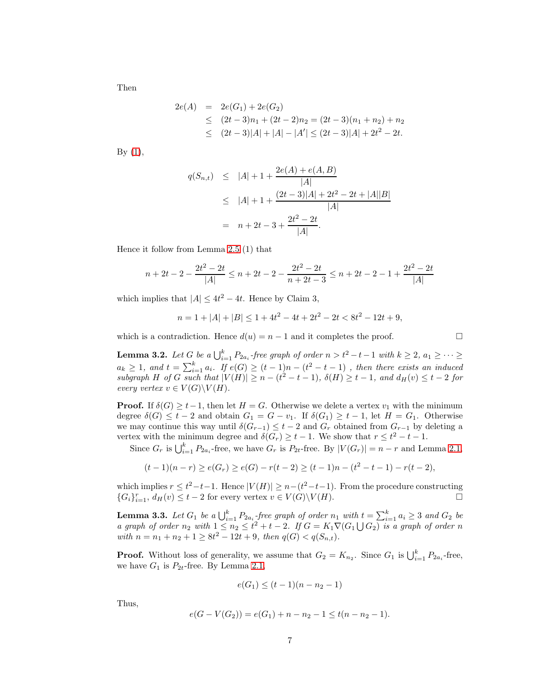Then

$$
2e(A) = 2e(G_1) + 2e(G_2)
$$
  
\n
$$
\leq (2t - 3)n_1 + (2t - 2)n_2 = (2t - 3)(n_1 + n_2) + n_2
$$
  
\n
$$
\leq (2t - 3)|A| + |A| - |A'| \leq (2t - 3)|A| + 2t^2 - 2t.
$$

By  $(1)$ ,

$$
q(S_{n,t}) \le |A| + 1 + \frac{2e(A) + e(A, B)}{|A|}
$$
  
\n
$$
\le |A| + 1 + \frac{(2t - 3)|A| + 2t^2 - 2t + |A||B|}{|A|}
$$
  
\n
$$
= n + 2t - 3 + \frac{2t^2 - 2t}{|A|}.
$$

Hence it follow from Lemma [2.5](#page-3-2) (1) that

$$
n + 2t - 2 - \frac{2t^2 - 2t}{|A|} \le n + 2t - 2 - \frac{2t^2 - 2t}{n + 2t - 3} \le n + 2t - 2 - 1 + \frac{2t^2 - 2t}{|A|}
$$

which implies that  $|A| \leq 4t^2 - 4t$ . Hence by Claim 3,

$$
n = 1 + |A| + |B| \le 1 + 4t^2 - 4t + 2t^2 - 2t < 8t^2 - 12t + 9,
$$

which is a contradiction. Hence  $d(u) = n - 1$  and it completes the proof.

<span id="page-6-0"></span>**Lemma 3.2.** Let G be a  $\bigcup_{i=1}^{k} P_{2a_i}$ -free graph of order  $n > t^2 - t - 1$  with  $k \geq 2$ ,  $a_1 \geq \cdots \geq$  $a_k \geq 1$ , and  $t = \sum_{i=1}^k a_i$ . If  $e(G) \geq (t-1)n - (t^2 - t - 1)$ , then there exists an induced subgraph H of G such that  $|V(H)| \ge n - (t^2 - t - 1)$ ,  $\delta(H) \ge t - 1$ , and  $d_H(v) \le t - 2$  for every vertex  $v \in V(G) \backslash V(H)$ .

**Proof.** If  $\delta(G) > t-1$ , then let  $H = G$ . Otherwise we delete a vertex  $v_1$  with the minimum degree  $\delta(G) \leq t - 2$  and obtain  $G_1 = G - v_1$ . If  $\delta(G_1) \geq t - 1$ , let  $H = G_1$ . Otherwise we may continue this way until  $\delta(G_{r-1}) \leq t-2$  and  $G_r$  obtained from  $G_{r-1}$  by deleting a vertex with the minimum degree and  $\delta(G_r) \geq t-1$ . We show that  $r \leq t^2 - t - 1$ .

Since  $G_r$  is  $\bigcup_{i=1}^k P_{2a_i}$ -free, we have  $G_r$  is  $P_{2t}$ -free. By  $|V(G_r)| = n - r$  and Lemma [2.1,](#page-3-1)

$$
(t-1)(n-r) \ge e(G_r) \ge e(G) - r(t-2) \ge (t-1)n - (t^2 - t - 1) - r(t-2),
$$

which implies  $r \leq t^2 - t - 1$ . Hence  $|V(H)| \geq n - (t^2 - t - 1)$ . From the procedure constructing  ${G_i}_{i=1}^r$ ,  $d_H(v) \le t-2$  for every vertex  $v \in V(G) \backslash V(H)$ .

<span id="page-6-1"></span>**Lemma 3.3.** Let  $G_1$  be a  $\bigcup_{i=1}^k P_{2a_i}$  free graph of order  $n_1$  with  $t = \sum_{i=1}^k a_i \geq 3$  and  $G_2$  be a graph of order  $n_2$  with  $1 \leq n_2 \leq t^2 + t - 2$ . If  $G = K_1 \nabla (G_1 \bigcup G_2)$  is a graph of order n with  $n = n_1 + n_2 + 1 \ge 8t^2 - 12t + 9$ , then  $q(G) < q(S_{n,t})$ .

**Proof.** Without loss of generality, we assume that  $G_2 = K_{n_2}$ . Since  $G_1$  is  $\bigcup_{i=1}^k P_{2a_i}$ -free, we have  $G_1$  is  $P_{2t}$ -free. By Lemma [2.1,](#page-3-1)

$$
e(G_1) \le (t-1)(n-n_2-1)
$$

Thus,

$$
e(G - V(G_2)) = e(G_1) + n - n_2 - 1 \le t(n - n_2 - 1).
$$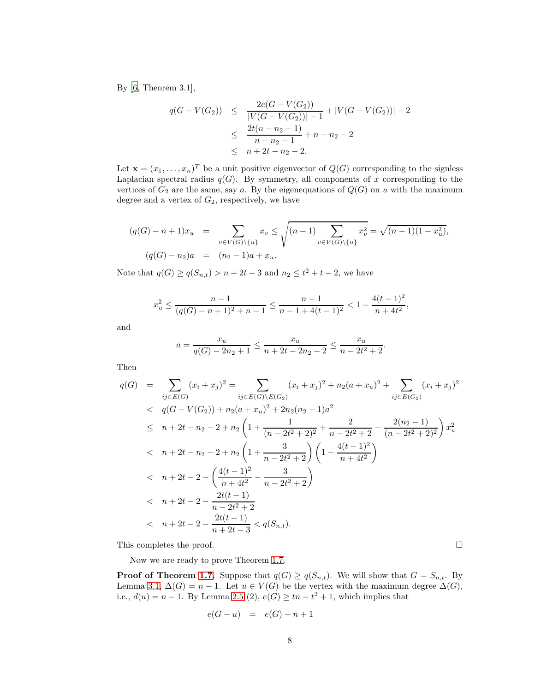By [\[6](#page-9-8), Theorem 3.1],

$$
q(G - V(G_2)) \leq \frac{2e(G - V(G_2))}{|V(G - V(G_2))| - 1} + |V(G - V(G_2))| - 2
$$
  

$$
\leq \frac{2t(n - n_2 - 1)}{n - n_2 - 1} + n - n_2 - 2
$$
  

$$
\leq n + 2t - n_2 - 2.
$$

Let  $\mathbf{x} = (x_1, \ldots, x_n)^T$  be a unit positive eigenvector of  $Q(G)$  corresponding to the signless Laplacian spectral radius  $q(G)$ . By symmetry, all components of x corresponding to the vertices of  $G_2$  are the same, say a. By the eigenequations of  $Q(G)$  on u with the maximum degree and a vertex of  $G_2$ , respectively, we have

$$
(q(G) - n + 1)x_u = \sum_{v \in V(G) \setminus \{u\}} x_v \le \sqrt{(n-1)\sum_{v \in V(G) \setminus \{u\}} x_v^2} = \sqrt{(n-1)(1 - x_u^2)},
$$
  

$$
(q(G) - n_2)a = (n_2 - 1)a + x_u.
$$

Note that  $q(G) \ge q(S_{n,t}) > n + 2t - 3$  and  $n_2 \le t^2 + t - 2$ , we have

$$
x_u^2 \leq \frac{n-1}{(q(G)-n+1)^2+n-1} \leq \frac{n-1}{n-1+4(t-1)^2} < 1-\frac{4(t-1)^2}{n+4t^2},
$$

and

$$
a = \frac{x_u}{q(G) - 2n_2 + 1} \le \frac{x_u}{n + 2t - 2n_2 - 2} \le \frac{x_u}{n - 2t^2 + 2}.
$$

Then

$$
q(G) = \sum_{ij \in E(G)} (x_i + x_j)^2 = \sum_{ij \in E(G) \setminus E(G_2)} (x_i + x_j)^2 + n_2(a + x_u)^2 + \sum_{ij \in E(G_2)} (x_i + x_j)^2
$$
  
\n
$$
< q(G - V(G_2)) + n_2(a + x_u)^2 + 2n_2(n_2 - 1)a^2
$$
  
\n
$$
\leq n + 2t - n_2 - 2 + n_2 \left(1 + \frac{1}{(n - 2t^2 + 2)^2} + \frac{2}{n - 2t^2 + 2} + \frac{2(n_2 - 1)}{(n - 2t^2 + 2)^2}\right) x_u^2
$$
  
\n
$$
< n + 2t - n_2 - 2 + n_2 \left(1 + \frac{3}{n - 2t^2 + 2}\right) \left(1 - \frac{4(t - 1)^2}{n + 4t^2}\right)
$$
  
\n
$$
< n + 2t - 2 - \left(\frac{4(t - 1)^2}{n + 4t^2} - \frac{3}{n - 2t^2 + 2}\right)
$$
  
\n
$$
< n + 2t - 2 - \frac{2t(t - 1)}{n - 2t^2 + 2}
$$
  
\n
$$
< n + 2t - 2 - \frac{2t(t - 1)}{n + 2t - 3} < q(S_{n,t}).
$$

This completes the proof.  $\Box$ 

Now we are ready to prove Theorem [1.7.](#page-3-0)

**Proof of Theorem [1.7.](#page-3-0)** Suppose that  $q(G) \geq q(S_{n,t})$ . We will show that  $G = S_{n,t}$ . By Lemma [3.1,](#page-4-1)  $\Delta(G) = n - 1$ . Let  $u \in V(G)$  be the vertex with the maximum degree  $\Delta(G)$ , i.e.,  $d(u) = n - 1$ . By Lemma [2.5](#page-3-2) (2),  $e(G) \geq tn - t^2 + 1$ , which implies that

$$
e(G-u) = e(G) - n + 1
$$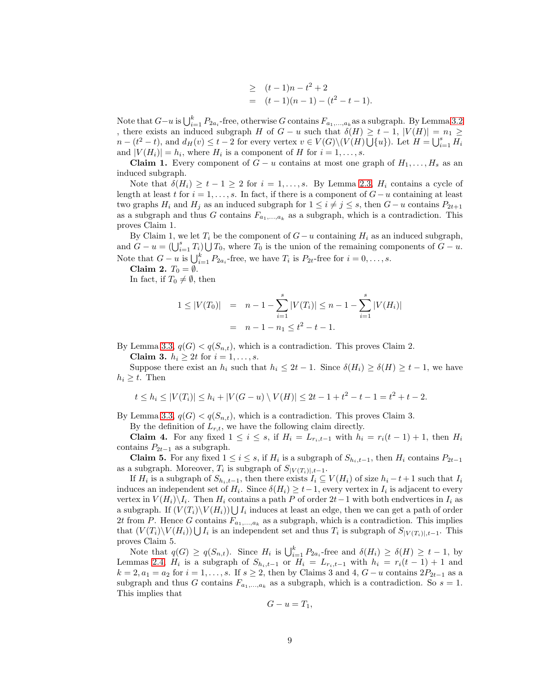$$
\geq (t-1)n - t^2 + 2
$$
  
=  $(t-1)(n-1) - (t^2 - t - 1).$ 

Note that  $G-u$  is  $\bigcup_{i=1}^k P_{2a_i}$ -free, otherwise G contains  $F_{a_1,...,a_k}$ as a subgraph. By Lemma [3.2](#page-6-0) , there exists an induced subgraph H of  $G - u$  such that  $\delta(H) \geq t - 1$ ,  $|V(H)| = n_1 \geq$  $n - (t^2 - t)$ , and  $d_H(v) \le t - 2$  for every vertex  $v \in V(G) \setminus (V(H) \bigcup \{u\})$ . Let  $H = \bigcup_{i=1}^s H_i$ and  $|V(H_i)| = h_i$ , where  $H_i$  is a component of H for  $i = 1, \ldots, s$ .

**Claim 1.** Every component of  $G - u$  contains at most one graph of  $H_1, \ldots, H_s$  as an induced subgraph.

Note that  $\delta(H_i) \geq t-1 \geq 2$  for  $i = 1, \ldots, s$ . By Lemma [2.3,](#page-3-4)  $H_i$  contains a cycle of length at least t for  $i = 1, \ldots, s$ . In fact, if there is a component of  $G - u$  containing at least two graphs  $H_i$  and  $H_j$  as an induced subgraph for  $1 \leq i \neq j \leq s$ , then  $G - u$  contains  $P_{2t+1}$ as a subgraph and thus G contains  $F_{a_1,...,a_k}$  as a subgraph, which is a contradiction. This proves Claim 1.

By Claim 1, we let  $T_i$  be the component of  $G-u$  containing  $H_i$  as an induced subgraph, and  $G - u = (\bigcup_{i=1}^{s} T_i) \bigcup T_0$ , where  $T_0$  is the union of the remaining components of  $G - u$ . Note that  $G - u$  is  $\bigcup_{i=1}^{k} P_{2a_i}$ -free, we have  $T_i$  is  $P_{2t}$ -free for  $i = 0, \ldots, s$ .

Claim 2.  $T_0 = \emptyset$ .

In fact, if  $T_0 \neq \emptyset$ , then

$$
1 \le |V(T_0)| = n - 1 - \sum_{i=1}^{s} |V(T_i)| \le n - 1 - \sum_{i=1}^{s} |V(H_i)|
$$
  
=  $n - 1 - n_1 \le t^2 - t - 1$ .

By Lemma [3.3,](#page-6-1)  $q(G) < q(S_{n,t})$ , which is a contradiction. This proves Claim 2.

Claim 3.  $h_i \geq 2t$  for  $i = 1, \ldots, s$ .

Suppose there exist an  $h_i$  such that  $h_i \leq 2t - 1$ . Since  $\delta(H_i) \geq \delta(H) \geq t - 1$ , we have  $h_i \geq t$ . Then

$$
t \le h_i \le |V(T_i)| \le h_i + |V(G - u) \setminus V(H)| \le 2t - 1 + t^2 - t - 1 = t^2 + t - 2.
$$

By Lemma [3.3,](#page-6-1)  $q(G) < q(S_{n,t})$ , which is a contradiction. This proves Claim 3.

By the definition of  $L_{r,t}$ , we have the following claim directly.

Claim 4. For any fixed  $1 \leq i \leq s$ , if  $H_i = L_{r_i,t-1}$  with  $h_i = r_i(t-1) + 1$ , then  $H_i$ contains  $P_{2t-1}$  as a subgraph.

**Claim 5.** For any fixed  $1 \leq i \leq s$ , if  $H_i$  is a subgraph of  $S_{h_i,t-1}$ , then  $H_i$  contains  $P_{2t-1}$ as a subgraph. Moreover,  $T_i$  is subgraph of  $S_{|V(T_i)|,t-1}$ .

If  $H_i$  is a subgraph of  $S_{h_i,t-1}$ , then there exists  $I_i \subseteq V(H_i)$  of size  $h_i - t + 1$  such that  $I_i$ induces an independent set of  $H_i$ . Since  $\delta(H_i) \geq t-1$ , every vertex in  $I_i$  is adjacent to every vertex in  $V(H_i)\backslash I_i$ . Then  $H_i$  contains a path P of order 2t – 1 with both endvertices in  $I_i$  as a subgraph. If  $(V(T_i)\backslash V(H_i)) \bigcup I_i$  induces at least an edge, then we can get a path of order 2t from P. Hence G contains  $F_{a_1,...,a_k}$  as a subgraph, which is a contradiction. This implies that  $(V(T_i)\backslash V(H_i))\bigcup I_i$  is an independent set and thus  $T_i$  is subgraph of  $S_{|V(T_i)|,t-1}$ . This proves Claim 5.

Note that  $q(G) \ge q(S_{n,t})$ . Since  $H_i$  is  $\bigcup_{i=1}^k P_{2a_i}$ -free and  $\delta(H_i) \ge \delta(H) \ge t-1$ , by Lemmas [2.4,](#page-3-5)  $H_i$  is a subgraph of  $S_{h_i,t-1}$  or  $H_i = L_{r_i,t-1}$  with  $h_i = r_i(t-1) + 1$  and  $k = 2, a_1 = a_2$  for  $i = 1, \ldots, s$ . If  $s \geq 2$ , then by Claims 3 and 4,  $G - u$  contains  $2P_{2t-1}$  as a subgraph and thus G contains  $F_{a_1,...,a_k}$  as a subgraph, which is a contradiction. So  $s = 1$ . This implies that

$$
G-u=T_1,
$$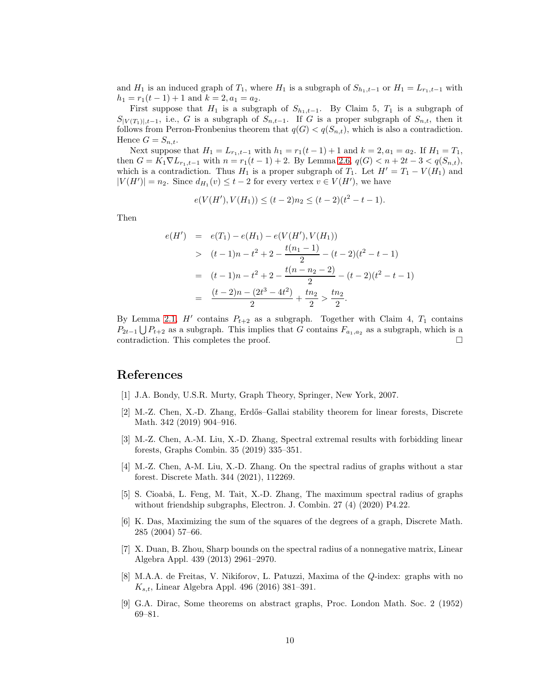and  $H_1$  is an induced graph of  $T_1$ , where  $H_1$  is a subgraph of  $S_{h_1,t-1}$  or  $H_1 = L_{r_1,t-1}$  with  $h_1 = r_1(t-1) + 1$  and  $k = 2, a_1 = a_2$ .

First suppose that  $H_1$  is a subgraph of  $S_{h_1,t-1}$ . By Claim 5,  $T_1$  is a subgraph of  $S_{|V(T_1)|,t-1}$ , i.e., G is a subgraph of  $S_{n,t-1}$ . If G is a proper subgraph of  $S_{n,t}$ , then it follows from Perron-Fronbenius theorem that  $q(G) < q(S_{n,t})$ , which is also a contradiction. Hence  $G = S_{n,t}$ .

Next suppose that  $H_1 = L_{r_1,t-1}$  with  $h_1 = r_1(t-1) + 1$  and  $k = 2, a_1 = a_2$ . If  $H_1 = T_1$ , then  $G = K_1 \nabla L_{r_1,t-1}$  with  $n = r_1(t-1) + 2$ . By Lemma [2.6,](#page-3-6)  $q(G) < n + 2t - 3 < q(S_{n,t}),$ which is a contradiction. Thus  $H_1$  is a proper subgraph of  $T_1$ . Let  $H' = T_1 - V(H_1)$  and  $|V(H')|=n_2$ . Since  $d_{H_1}(v) \leq t-2$  for every vertex  $v \in V(H')$ , we have

$$
e(V(H'), V(H_1)) \le (t-2)n_2 \le (t-2)(t^2 - t - 1).
$$

Then

$$
e(H') = e(T_1) - e(H_1) - e(V(H'), V(H_1))
$$
  
> 
$$
(t-1)n - t^2 + 2 - \frac{t(n_1 - 1)}{2} - (t-2)(t^2 - t - 1)
$$
  
= 
$$
(t-1)n - t^2 + 2 - \frac{t(n - n_2 - 2)}{2} - (t-2)(t^2 - t - 1)
$$
  
= 
$$
\frac{(t-2)n - (2t^3 - 4t^2)}{2} + \frac{tn_2}{2} > \frac{tn_2}{2}.
$$

By Lemma [2.1,](#page-3-1)  $H'$  contains  $P_{t+2}$  as a subgraph. Together with Claim 4,  $T_1$  contains  $P_{2t-1} \bigcup P_{t+2}$  as a subgraph. This implies that G contains  $F_{a_1,a_2}$  as a subgraph, which is a contradiction. This completes the proof.

# References

- <span id="page-9-0"></span>[1] J.A. Bondy, U.S.R. Murty, Graph Theory, Springer, New York, 2007.
- <span id="page-9-6"></span>[2] M.-Z. Chen, X.-D. Zhang, Erd˝os–Gallai stability theorem for linear forests, Discrete Math. 342 (2019) 904–916.
- <span id="page-9-1"></span>[3] M.-Z. Chen, A.-M. Liu, X.-D. Zhang, Spectral extremal results with forbidding linear forests, Graphs Combin. 35 (2019) 335–351.
- <span id="page-9-2"></span>[4] M.-Z. Chen, A-M. Liu, X.-D. Zhang. On the spectral radius of graphs without a star forest. Discrete Math. 344 (2021), 112269.
- <span id="page-9-4"></span>[5] S. Cioabă, L. Feng, M. Tait, X.-D. Zhang, The maximum spectral radius of graphs without friendship subgraphs, Electron. J. Combin. 27 (4) (2020) P4.22.
- <span id="page-9-8"></span>[6] K. Das, Maximizing the sum of the squares of the degrees of a graph, Discrete Math. 285 (2004) 57–66.
- <span id="page-9-7"></span>[7] X. Duan, B. Zhou, Sharp bounds on the spectral radius of a nonnegative matrix, Linear Algebra Appl. 439 (2013) 2961–2970.
- <span id="page-9-3"></span>[8] M.A.A. de Freitas, V. Nikiforov, L. Patuzzi, Maxima of the Q-index: graphs with no  $K_{s,t}$ , Linear Algebra Appl. 496 (2016) 381–391.
- <span id="page-9-5"></span>[9] G.A. Dirac, Some theorems on abstract graphs, Proc. London Math. Soc. 2 (1952) 69–81.